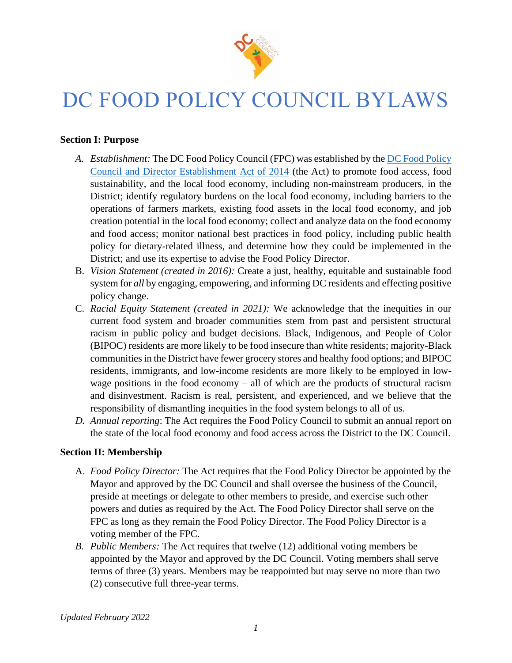

# DC FOOD POLICY COUNCIL BYLAWS

### **Section I: Purpose**

- *A. Establishment:* The DC Food Policy Council (FPC) was established by the [DC Food Policy](http://lims.dccouncil.us/Download/31874/B20-0821-SignedAct.pdf)  [Council and Director Establishment Act of 2014](http://lims.dccouncil.us/Download/31874/B20-0821-SignedAct.pdf) (the Act) to promote food access, food sustainability, and the local food economy, including non-mainstream producers, in the District; identify regulatory burdens on the local food economy, including barriers to the operations of farmers markets, existing food assets in the local food economy, and job creation potential in the local food economy; collect and analyze data on the food economy and food access; monitor national best practices in food policy, including public health policy for dietary-related illness, and determine how they could be implemented in the District; and use its expertise to advise the Food Policy Director.
- B. *Vision Statement (created in 2016):* Create a just, healthy, equitable and sustainable food system for *all* by engaging, empowering, and informing DC residents and effecting positive policy change.
- C. *Racial Equity Statement (created in 2021):* We acknowledge that the inequities in our current food system and broader communities stem from past and persistent structural racism in public policy and budget decisions. Black, Indigenous, and People of Color (BIPOC) residents are more likely to be food insecure than white residents; majority-Black communities in the District have fewer grocery stores and healthy food options; and BIPOC residents, immigrants, and low-income residents are more likely to be employed in lowwage positions in the food economy – all of which are the products of structural racism and disinvestment. Racism is real, persistent, and experienced, and we believe that the responsibility of dismantling inequities in the food system belongs to all of us.
- *D. Annual reporting*: The Act requires the Food Policy Council to submit an annual report on the state of the local food economy and food access across the District to the DC Council.

#### **Section II: Membership**

- A. *Food Policy Director:* The Act requires that the Food Policy Director be appointed by the Mayor and approved by the DC Council and shall oversee the business of the Council, preside at meetings or delegate to other members to preside, and exercise such other powers and duties as required by the Act. The Food Policy Director shall serve on the FPC as long as they remain the Food Policy Director. The Food Policy Director is a voting member of the FPC.
- *B. Public Members:* The Act requires that twelve (12) additional voting members be appointed by the Mayor and approved by the DC Council. Voting members shall serve terms of three (3) years. Members may be reappointed but may serve no more than two (2) consecutive full three-year terms.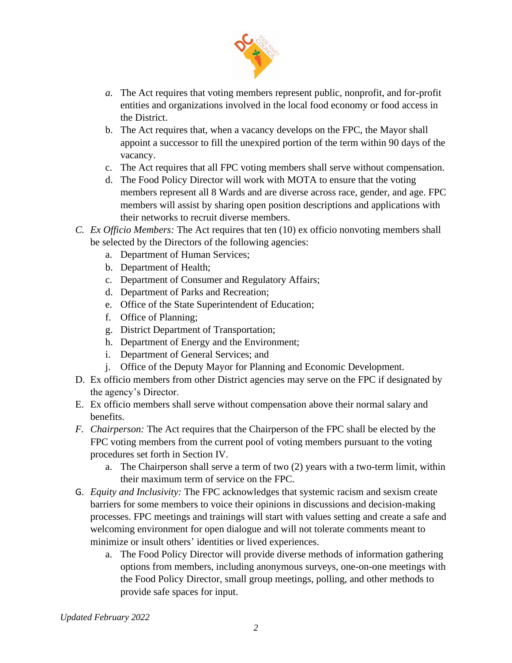

- *a.* The Act requires that voting members represent public, nonprofit, and for-profit entities and organizations involved in the local food economy or food access in the District.
- b. The Act requires that, when a vacancy develops on the FPC, the Mayor shall appoint a successor to fill the unexpired portion of the term within 90 days of the vacancy.
- c. The Act requires that all FPC voting members shall serve without compensation.
- d. The Food Policy Director will work with MOTA to ensure that the voting members represent all 8 Wards and are diverse across race, gender, and age. FPC members will assist by sharing open position descriptions and applications with their networks to recruit diverse members.
- *C. Ex Officio Members:* The Act requires that ten (10) ex officio nonvoting members shall be selected by the Directors of the following agencies:
	- a. Department of Human Services;
	- b. Department of Health;
	- c. Department of Consumer and Regulatory Affairs;
	- d. Department of Parks and Recreation;
	- e. Office of the State Superintendent of Education;
	- f. Office of Planning;
	- g. District Department of Transportation;
	- h. Department of Energy and the Environment;
	- i. Department of General Services; and
	- j. Office of the Deputy Mayor for Planning and Economic Development.
- D. Ex officio members from other District agencies may serve on the FPC if designated by the agency's Director.
- E. Ex officio members shall serve without compensation above their normal salary and benefits.
- *F. Chairperson:* The Act requires that the Chairperson of the FPC shall be elected by the FPC voting members from the current pool of voting members pursuant to the voting procedures set forth in Section IV.
	- a. The Chairperson shall serve a term of two (2) years with a two-term limit, within their maximum term of service on the FPC.
- G. *Equity and Inclusivity:* The FPC acknowledges that systemic racism and sexism create barriers for some members to voice their opinions in discussions and decision-making processes. FPC meetings and trainings will start with values setting and create a safe and welcoming environment for open dialogue and will not tolerate comments meant to minimize or insult others' identities or lived experiences.
	- a. The Food Policy Director will provide diverse methods of information gathering options from members, including anonymous surveys, one-on-one meetings with the Food Policy Director, small group meetings, polling, and other methods to provide safe spaces for input.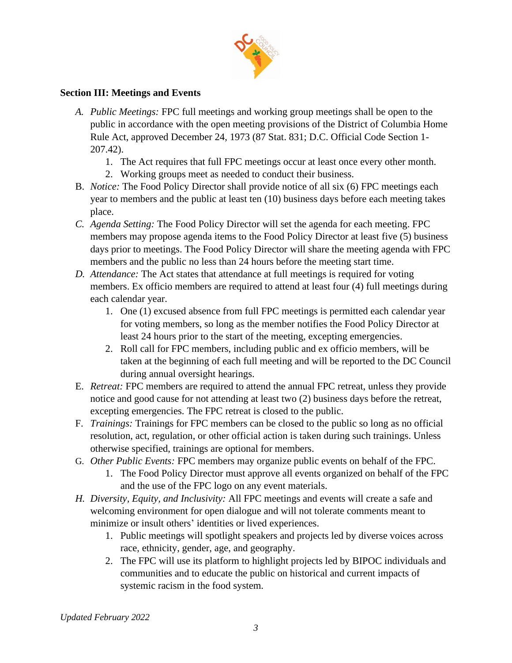

# **Section III: Meetings and Events**

- *A. Public Meetings:* FPC full meetings and working group meetings shall be open to the public in accordance with the open meeting provisions of the District of Columbia Home Rule Act, approved December 24, 1973 (87 Stat. 831; D.C. Official Code Section 1- 207.42).
	- 1. The Act requires that full FPC meetings occur at least once every other month.
	- 2. Working groups meet as needed to conduct their business.
- B. *Notice:* The Food Policy Director shall provide notice of all six (6) FPC meetings each year to members and the public at least ten (10) business days before each meeting takes place.
- *C. Agenda Setting:* The Food Policy Director will set the agenda for each meeting. FPC members may propose agenda items to the Food Policy Director at least five (5) business days prior to meetings. The Food Policy Director will share the meeting agenda with FPC members and the public no less than 24 hours before the meeting start time.
- *D. Attendance:* The Act states that attendance at full meetings is required for voting members. Ex officio members are required to attend at least four (4) full meetings during each calendar year.
	- 1. One (1) excused absence from full FPC meetings is permitted each calendar year for voting members, so long as the member notifies the Food Policy Director at least 24 hours prior to the start of the meeting, excepting emergencies.
	- 2. Roll call for FPC members, including public and ex officio members, will be taken at the beginning of each full meeting and will be reported to the DC Council during annual oversight hearings.
- E. *Retreat:* FPC members are required to attend the annual FPC retreat, unless they provide notice and good cause for not attending at least two (2) business days before the retreat, excepting emergencies. The FPC retreat is closed to the public.
- F. *Trainings:* Trainings for FPC members can be closed to the public so long as no official resolution, act, regulation, or other official action is taken during such trainings. Unless otherwise specified, trainings are optional for members.
- G. *Other Public Events:* FPC members may organize public events on behalf of the FPC.
	- 1. The Food Policy Director must approve all events organized on behalf of the FPC and the use of the FPC logo on any event materials.
- *H. Diversity, Equity, and Inclusivity:* All FPC meetings and events will create a safe and welcoming environment for open dialogue and will not tolerate comments meant to minimize or insult others' identities or lived experiences.
	- 1. Public meetings will spotlight speakers and projects led by diverse voices across race, ethnicity, gender, age, and geography.
	- 2. The FPC will use its platform to highlight projects led by BIPOC individuals and communities and to educate the public on historical and current impacts of systemic racism in the food system.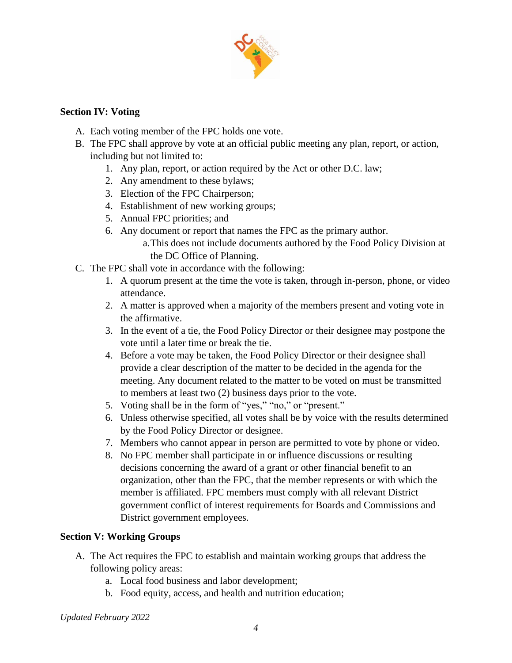

### **Section IV: Voting**

- A. Each voting member of the FPC holds one vote.
- B. The FPC shall approve by vote at an official public meeting any plan, report, or action, including but not limited to:
	- 1. Any plan, report, or action required by the Act or other D.C. law;
	- 2. Any amendment to these bylaws;
	- 3. Election of the FPC Chairperson;
	- 4. Establishment of new working groups;
	- 5. Annual FPC priorities; and
	- 6. Any document or report that names the FPC as the primary author.

a.This does not include documents authored by the Food Policy Division at the DC Office of Planning.

- C. The FPC shall vote in accordance with the following:
	- 1. A quorum present at the time the vote is taken, through in-person, phone, or video attendance.
	- 2. A matter is approved when a majority of the members present and voting vote in the affirmative.
	- 3. In the event of a tie, the Food Policy Director or their designee may postpone the vote until a later time or break the tie.
	- 4. Before a vote may be taken, the Food Policy Director or their designee shall provide a clear description of the matter to be decided in the agenda for the meeting. Any document related to the matter to be voted on must be transmitted to members at least two (2) business days prior to the vote.
	- 5. Voting shall be in the form of "yes," "no," or "present."
	- 6. Unless otherwise specified, all votes shall be by voice with the results determined by the Food Policy Director or designee.
	- 7. Members who cannot appear in person are permitted to vote by phone or video.
	- 8. No FPC member shall participate in or influence discussions or resulting decisions concerning the award of a grant or other financial benefit to an organization, other than the FPC, that the member represents or with which the member is affiliated. FPC members must comply with all relevant District government conflict of interest requirements for Boards and Commissions and District government employees.

# **Section V: Working Groups**

- A. The Act requires the FPC to establish and maintain working groups that address the following policy areas:
	- a. Local food business and labor development;
	- b. Food equity, access, and health and nutrition education;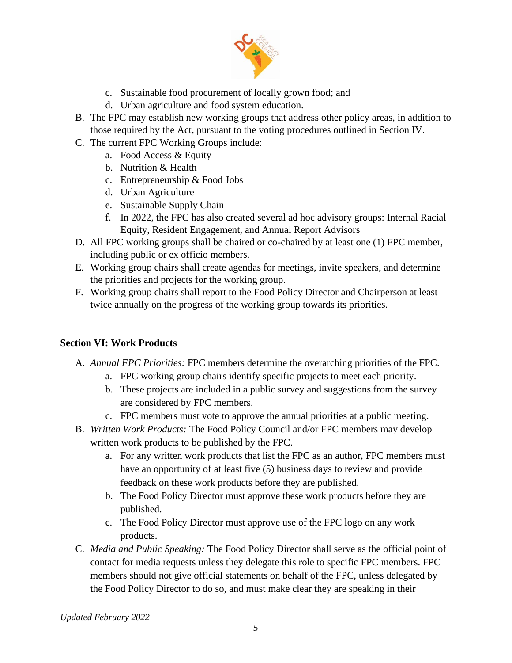

- c. Sustainable food procurement of locally grown food; and
- d. Urban agriculture and food system education.
- B. The FPC may establish new working groups that address other policy areas, in addition to those required by the Act, pursuant to the voting procedures outlined in Section IV.
- C. The current FPC Working Groups include:
	- a. Food Access & Equity
	- b. Nutrition & Health
	- c. Entrepreneurship & Food Jobs
	- d. Urban Agriculture
	- e. Sustainable Supply Chain
	- f. In 2022, the FPC has also created several ad hoc advisory groups: Internal Racial Equity, Resident Engagement, and Annual Report Advisors
- D. All FPC working groups shall be chaired or co-chaired by at least one (1) FPC member, including public or ex officio members.
- E. Working group chairs shall create agendas for meetings, invite speakers, and determine the priorities and projects for the working group.
- F. Working group chairs shall report to the Food Policy Director and Chairperson at least twice annually on the progress of the working group towards its priorities.

# **Section VI: Work Products**

- A. *Annual FPC Priorities:* FPC members determine the overarching priorities of the FPC.
	- a. FPC working group chairs identify specific projects to meet each priority.
	- b. These projects are included in a public survey and suggestions from the survey are considered by FPC members.
	- c. FPC members must vote to approve the annual priorities at a public meeting.
- B. *Written Work Products:* The Food Policy Council and/or FPC members may develop written work products to be published by the FPC.
	- a. For any written work products that list the FPC as an author, FPC members must have an opportunity of at least five (5) business days to review and provide feedback on these work products before they are published.
	- b. The Food Policy Director must approve these work products before they are published.
	- c. The Food Policy Director must approve use of the FPC logo on any work products.
- C. *Media and Public Speaking:* The Food Policy Director shall serve as the official point of contact for media requests unless they delegate this role to specific FPC members. FPC members should not give official statements on behalf of the FPC, unless delegated by the Food Policy Director to do so, and must make clear they are speaking in their